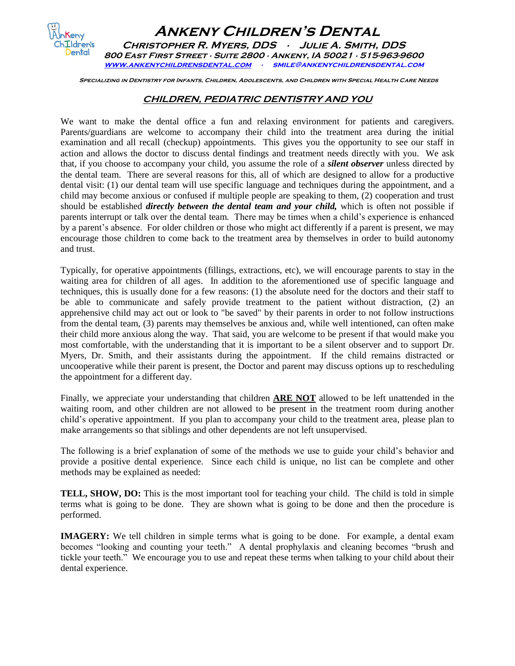

 **Ankeny Children's Dental Christopher R. Myers, DDS ∙ Julie A. Smith, DDS 800 East First Street ∙ Suite 2800 ∙ Ankeny, IA 50021 ∙ 515-963-9600 [www.ankenychildrensdental.com](http://www.ankenychildrensdental.com/) ∙ smile@ankenychildrensdental.com** 

 **Specializing in Dentistry for Infants, Children, Adolescents, and Children with Special Health Care Needs**

## **CHILDREN, PEDIATRIC DENTISTRY AND YOU**

We want to make the dental office a fun and relaxing environment for patients and caregivers. Parents/guardians are welcome to accompany their child into the treatment area during the initial examination and all recall (checkup) appointments. This gives you the opportunity to see our staff in action and allows the doctor to discuss dental findings and treatment needs directly with you. We ask that, if you choose to accompany your child, you assume the role of a *silent observer* unless directed by the dental team. There are several reasons for this, all of which are designed to allow for a productive dental visit: (1) our dental team will use specific language and techniques during the appointment, and a child may become anxious or confused if multiple people are speaking to them, (2) cooperation and trust should be established *directly between the dental team and your child,* which is often not possible if parents interrupt or talk over the dental team. There may be times when a child's experience is enhanced by a parent's absence. For older children or those who might act differently if a parent is present, we may encourage those children to come back to the treatment area by themselves in order to build autonomy and trust.

Typically, for operative appointments (fillings, extractions, etc), we will encourage parents to stay in the waiting area for children of all ages. In addition to the aforementioned use of specific language and techniques, this is usually done for a few reasons: (1) the absolute need for the doctors and their staff to be able to communicate and safely provide treatment to the patient without distraction, (2) an apprehensive child may act out or look to "be saved" by their parents in order to not follow instructions from the dental team, (3) parents may themselves be anxious and, while well intentioned, can often make their child more anxious along the way. That said, you are welcome to be present if that would make you most comfortable, with the understanding that it is important to be a silent observer and to support Dr. Myers, Dr. Smith, and their assistants during the appointment. If the child remains distracted or uncooperative while their parent is present, the Doctor and parent may discuss options up to rescheduling the appointment for a different day.

Finally, we appreciate your understanding that children **ARE NOT** allowed to be left unattended in the waiting room, and other children are not allowed to be present in the treatment room during another child's operative appointment. If you plan to accompany your child to the treatment area, please plan to make arrangements so that siblings and other dependents are not left unsupervised.

The following is a brief explanation of some of the methods we use to guide your child's behavior and provide a positive dental experience. Since each child is unique, no list can be complete and other methods may be explained as needed:

**TELL, SHOW, DO:** This is the most important tool for teaching your child. The child is told in simple terms what is going to be done. They are shown what is going to be done and then the procedure is performed.

**IMAGERY:** We tell children in simple terms what is going to be done. For example, a dental exam becomes "looking and counting your teeth." A dental prophylaxis and cleaning becomes "brush and tickle your teeth." We encourage you to use and repeat these terms when talking to your child about their dental experience.